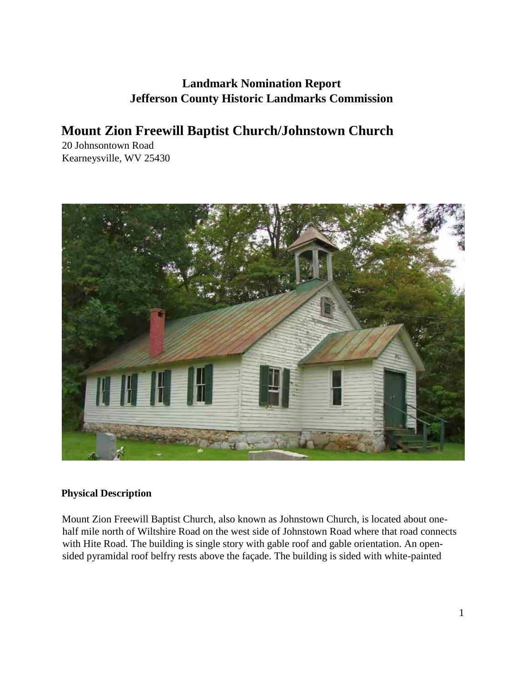# **Landmark Nomination Report Jefferson County Historic Landmarks Commission**

# **Mount Zion Freewill Baptist Church/Johnstown Church**

20 Johnsontown Road Kearneysville, WV 25430



## **Physical Description**

Mount Zion Freewill Baptist Church, also known as Johnstown Church, is located about onehalf mile north of Wiltshire Road on the west side of Johnstown Road where that road connects with Hite Road. The building is single story with gable roof and gable orientation. An opensided pyramidal roof belfry rests above the façade. The building is sided with white-painted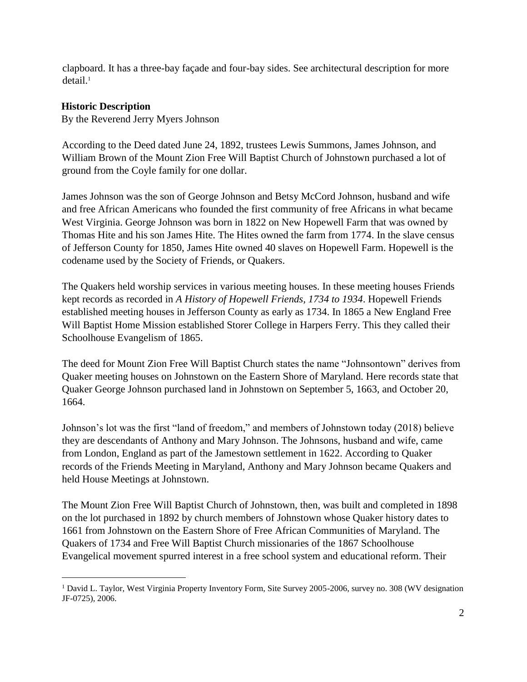clapboard. It has a three-bay façade and four-bay sides. See architectural description for more detail.<sup>1</sup>

#### **Historic Description**

 $\overline{a}$ 

By the Reverend Jerry Myers Johnson

According to the Deed dated June 24, 1892, trustees Lewis Summons, James Johnson, and William Brown of the Mount Zion Free Will Baptist Church of Johnstown purchased a lot of ground from the Coyle family for one dollar.

James Johnson was the son of George Johnson and Betsy McCord Johnson, husband and wife and free African Americans who founded the first community of free Africans in what became West Virginia. George Johnson was born in 1822 on New Hopewell Farm that was owned by Thomas Hite and his son James Hite. The Hites owned the farm from 1774. In the slave census of Jefferson County for 1850, James Hite owned 40 slaves on Hopewell Farm. Hopewell is the codename used by the Society of Friends, or Quakers.

The Quakers held worship services in various meeting houses. In these meeting houses Friends kept records as recorded in *A History of Hopewell Friends, 1734 to 1934*. Hopewell Friends established meeting houses in Jefferson County as early as 1734. In 1865 a New England Free Will Baptist Home Mission established Storer College in Harpers Ferry. This they called their Schoolhouse Evangelism of 1865.

The deed for Mount Zion Free Will Baptist Church states the name "Johnsontown" derives from Quaker meeting houses on Johnstown on the Eastern Shore of Maryland. Here records state that Quaker George Johnson purchased land in Johnstown on September 5, 1663, and October 20, 1664.

Johnson's lot was the first "land of freedom," and members of Johnstown today (2018) believe they are descendants of Anthony and Mary Johnson. The Johnsons, husband and wife, came from London, England as part of the Jamestown settlement in 1622. According to Quaker records of the Friends Meeting in Maryland, Anthony and Mary Johnson became Quakers and held House Meetings at Johnstown.

The Mount Zion Free Will Baptist Church of Johnstown, then, was built and completed in 1898 on the lot purchased in 1892 by church members of Johnstown whose Quaker history dates to 1661 from Johnstown on the Eastern Shore of Free African Communities of Maryland. The Quakers of 1734 and Free Will Baptist Church missionaries of the 1867 Schoolhouse Evangelical movement spurred interest in a free school system and educational reform. Their

<sup>1</sup> David L. Taylor, West Virginia Property Inventory Form, Site Survey 2005-2006, survey no. 308 (WV designation JF-0725), 2006.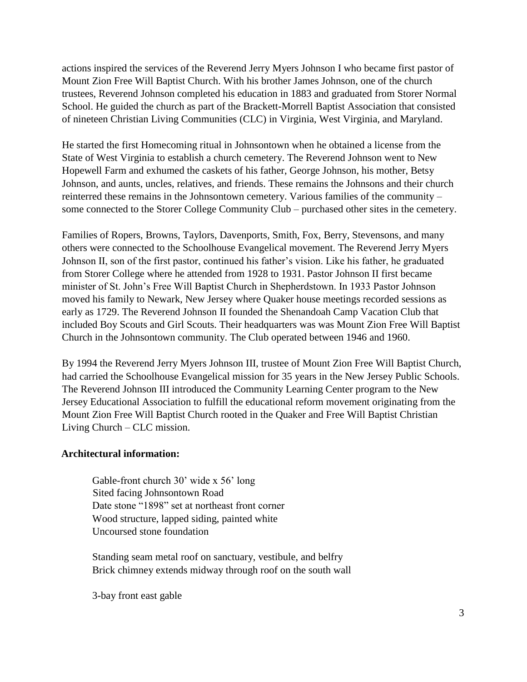actions inspired the services of the Reverend Jerry Myers Johnson I who became first pastor of Mount Zion Free Will Baptist Church. With his brother James Johnson, one of the church trustees, Reverend Johnson completed his education in 1883 and graduated from Storer Normal School. He guided the church as part of the Brackett-Morrell Baptist Association that consisted of nineteen Christian Living Communities (CLC) in Virginia, West Virginia, and Maryland.

He started the first Homecoming ritual in Johnsontown when he obtained a license from the State of West Virginia to establish a church cemetery. The Reverend Johnson went to New Hopewell Farm and exhumed the caskets of his father, George Johnson, his mother, Betsy Johnson, and aunts, uncles, relatives, and friends. These remains the Johnsons and their church reinterred these remains in the Johnsontown cemetery. Various families of the community – some connected to the Storer College Community Club – purchased other sites in the cemetery.

Families of Ropers, Browns, Taylors, Davenports, Smith, Fox, Berry, Stevensons, and many others were connected to the Schoolhouse Evangelical movement. The Reverend Jerry Myers Johnson II, son of the first pastor, continued his father's vision. Like his father, he graduated from Storer College where he attended from 1928 to 1931. Pastor Johnson II first became minister of St. John's Free Will Baptist Church in Shepherdstown. In 1933 Pastor Johnson moved his family to Newark, New Jersey where Quaker house meetings recorded sessions as early as 1729. The Reverend Johnson II founded the Shenandoah Camp Vacation Club that included Boy Scouts and Girl Scouts. Their headquarters was was Mount Zion Free Will Baptist Church in the Johnsontown community. The Club operated between 1946 and 1960.

By 1994 the Reverend Jerry Myers Johnson III, trustee of Mount Zion Free Will Baptist Church, had carried the Schoolhouse Evangelical mission for 35 years in the New Jersey Public Schools. The Reverend Johnson III introduced the Community Learning Center program to the New Jersey Educational Association to fulfill the educational reform movement originating from the Mount Zion Free Will Baptist Church rooted in the Quaker and Free Will Baptist Christian Living Church – CLC mission.

#### **Architectural information:**

Gable-front church 30' wide x 56' long Sited facing Johnsontown Road Date stone "1898" set at northeast front corner Wood structure, lapped siding, painted white Uncoursed stone foundation

Standing seam metal roof on sanctuary, vestibule, and belfry Brick chimney extends midway through roof on the south wall

3-bay front east gable